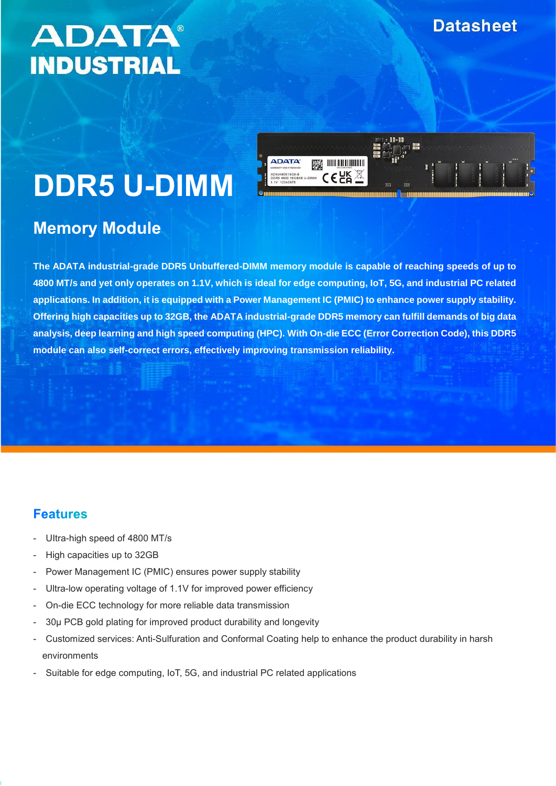# **ADATA® INDUSTRIAL**

## **ADATA BEE** INTERNATIONAL

# **DDR5 U-DIMM**

## **Memory Module**

**The ADATA industrial-grade DDR5 Unbuffered-DIMM memory module is capable of reaching speeds of up to 4800 MT/s and yet only operates on 1.1V, which is ideal for edge computing, IoT, 5G, and industrial PC related applications. In addition, it is equipped with a Power Management IC (PMIC) to enhance power supply stability. Offering high capacities up to 32GB, the ADATA industrial-grade DDR5 memory can fulfill demands of big data analysis, deep learning and high speed computing (HPC). With On-die ECC (Error Correction Code), this DDR5 module can also self-correct errors, effectively improving transmission reliability.**

#### **Features**

- Ultra-high speed of 4800 MT/s
- High capacities up to 32GB
- Power Management IC (PMIC) ensures power supply stability
- Ultra-low operating voltage of 1.1V for improved power efficiency
- On-die ECC technology for more reliable data transmission
- 30µ PCB gold plating for improved product durability and longevity
- Customized services: Anti-Sulfuration and Conformal Coating help to enhance the product durability in harsh environments
- Suitable for edge computing, IoT, 5G, and industrial PC related applications